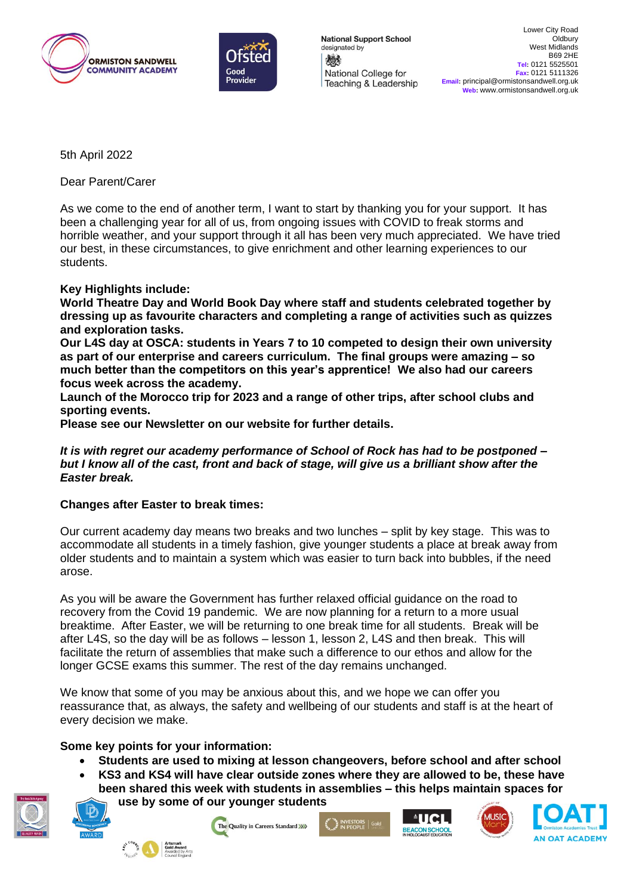



**National Support School** designated by 燃 National College for Teaching & Leadership

5th April 2022

Dear Parent/Carer

As we come to the end of another term, I want to start by thanking you for your support. It has been a challenging year for all of us, from ongoing issues with COVID to freak storms and horrible weather, and your support through it all has been very much appreciated. We have tried our best, in these circumstances, to give enrichment and other learning experiences to our students.

## **Key Highlights include:**

**World Theatre Day and World Book Day where staff and students celebrated together by dressing up as favourite characters and completing a range of activities such as quizzes and exploration tasks.** 

**Our L4S day at OSCA: students in Years 7 to 10 competed to design their own university as part of our enterprise and careers curriculum. The final groups were amazing – so much better than the competitors on this year's apprentice! We also had our careers focus week across the academy.**

**Launch of the Morocco trip for 2023 and a range of other trips, after school clubs and sporting events.**

**Please see our Newsletter on our website for further details.**

*It is with regret our academy performance of School of Rock has had to be postponed – but I know all of the cast, front and back of stage, will give us a brilliant show after the Easter break.* 

## **Changes after Easter to break times:**

Our current academy day means two breaks and two lunches – split by key stage. This was to accommodate all students in a timely fashion, give younger students a place at break away from older students and to maintain a system which was easier to turn back into bubbles, if the need arose.

As you will be aware the Government has further relaxed official guidance on the road to recovery from the Covid 19 pandemic. We are now planning for a return to a more usual breaktime. After Easter, we will be returning to one break time for all students. Break will be after L4S, so the day will be as follows – lesson 1, lesson 2, L4S and then break. This will facilitate the return of assemblies that make such a difference to our ethos and allow for the longer GCSE exams this summer. The rest of the day remains unchanged.

We know that some of you may be anxious about this, and we hope we can offer you reassurance that, as always, the safety and wellbeing of our students and staff is at the heart of every decision we make.

## **Some key points for your information:**

- **Students are used to mixing at lesson changeovers, before school and after school**
- **KS3 and KS4 will have clear outside zones where they are allowed to be, these have**
- **been shared this week with students in assemblies – this helps maintain spaces for use by some of our younger students**



The Quality in Careers Standard